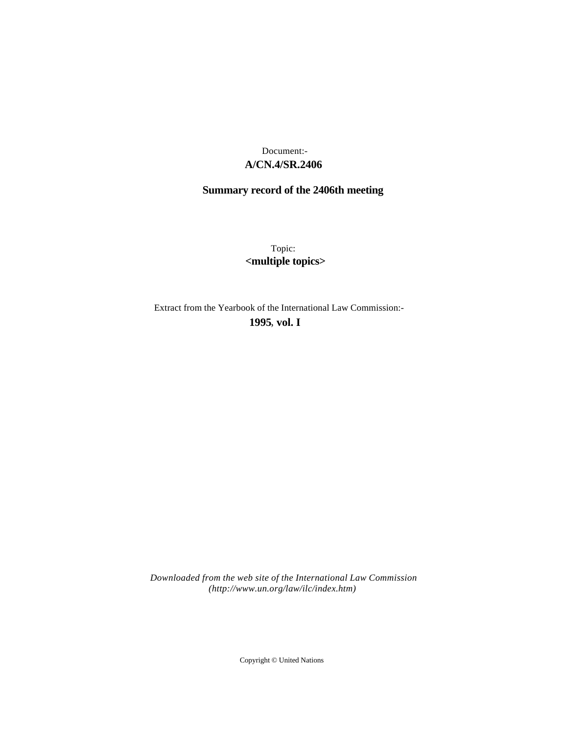# **A/CN.4/SR.2406** Document:-

# **Summary record of the 2406th meeting**

Topic: **<multiple topics>**

Extract from the Yearbook of the International Law Commission:-

**1995** , **vol. I**

*Downloaded from the web site of the International Law Commission (http://www.un.org/law/ilc/index.htm)*

Copyright © United Nations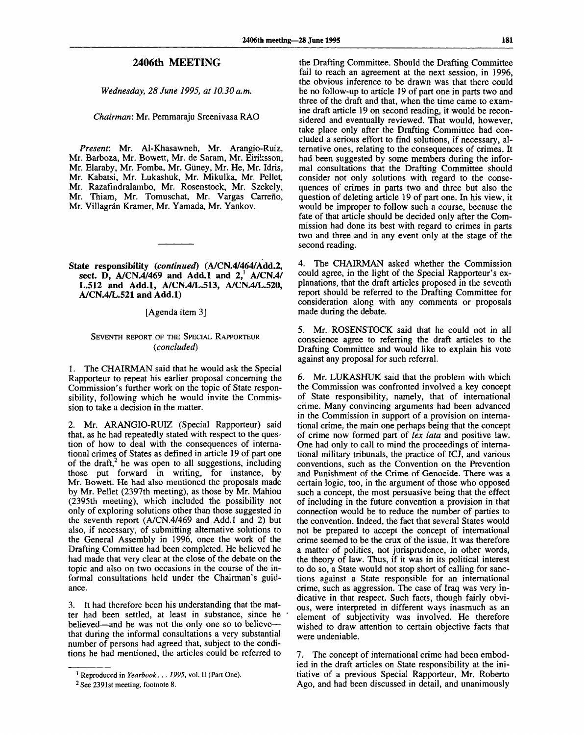#### **2406th MEETING**

*Wednesday, 28 June 1995, at 10.30 a.m.*

*Chairman:* Mr. Pemmaraju Sreenivasa RAO

*Present:* Mr. Al-Khasawneh, Mr. Arangio-Ruiz, Mr. Barboza, Mr. Bowett, Mr. de Saram, Mr. Eiriksson, Mr. Elaraby, Mr. Fomba, Mr. Giiney, Mr. He, Mr. Idris, Mr. Kabatsi, Mr. Lukashuk, Mr. Mikulka, Mr. Pellet, Mr. Razafindralambo, Mr. Rosenstock, Mr. Szekely, Mr. Thiam, Mr. Tomuschat, Mr. Vargas Carreño, Mr. Villagrán Kramer, Mr. Yamada, Mr. Yankov.

#### **State responsibility** *(continued)* **(A/CN.4/464/Add.2, sect. D, A/CN.4/469 and Add.l and 2," A/CN.4/ L.512 and Add.l, A/CN.4/L.513, A/CN.4/L.520, A/CN.4/L.521 and Add.l)**

[Agenda item 3]

## SEVENTH REPORT OF THE SPECIAL RAPPORTEUR *{concluded)*

1. The CHAIRMAN said that he would ask the Special Rapporteur to repeat his earlier proposal concerning the Commission's further work on the topic of State responsibility, following which he would invite the Commission to take a decision in the matter.

2. Mr. ARANGIO-RUIZ (Special Rapporteur) said that, as he had repeatedly stated with respect to the question of how to deal with the consequences of international crimes of States as defined in article 19 of part one of the draft,<sup>2</sup> he was open to all suggestions, including those put forward in writing, for instance, by Mr. Bowett. He had also mentioned the proposals made by Mr. Pellet (2397th meeting), as those by Mr. Mahiou (2395th meeting), which included the possibility not only of exploring solutions other than those suggested in the seventh report (A/CN.4/469 and Add.l and 2) but also, if necessary, of submitting alternative solutions to the General Assembly in 1996, once the work of the Drafting Committee had been completed. He believed he had made that very clear at the close of the debate on the topic and also on two occasions in the course of the informal consultations held under the Chairman's guidance.

3. It had therefore been his understanding that the matter had been settled, at least in substance, since he believed—and he was not the only one so to believe that during the informal consultations a very substantial number of persons had agreed that, subject to the conditions he had mentioned, the articles could be referred to

the Drafting Committee. Should the Drafting Committee fail to reach an agreement at the next session, in 1996, the obvious inference to be drawn was that there could be no follow-up to article 19 of part one in parts two and three of the draft and that, when the time came to examine draft article 19 on second reading, it would be reconsidered and eventually reviewed. That would, however, take place only after the Drafting Committee had concluded a serious effort to find solutions, if necessary, alternative ones, relating to the consequences of crimes. It had been suggested by some members during the informal consultations that the Drafting Committee should consider not only solutions with regard to the consequences of crimes in parts two and three but also the question of deleting article 19 of part one. In his view, it would be improper to follow such a course, because the fate of that article should be decided only after the Commission had done its best with regard to crimes in parts two and three and in any event only at the stage of the second reading.

4. The CHAIRMAN asked whether the Commission could agree, in the light of the Special Rapporteur's explanations, that the draft articles proposed in the seventh report should be referred to the Drafting Committee for consideration along with any comments or proposals made during the debate.

5. Mr. ROSENSTOCK said that he could not in all conscience agree to referring the draft articles to the Drafting Committee and would like to explain his vote against any proposal for such referral.

6. Mr. LUKASHUK said that the problem with which the Commission was confronted involved a key concept of State responsibility, namely, that of international crime. Many convincing arguments had been advanced in the Commission in support of a provision on international crime, the main one perhaps being that the concept of crime now formed part of *lex lata* and positive law. One had only to call to mind the proceedings of international military tribunals, the practice of ICJ, and various conventions, such as the Convention on the Prevention and Punishment of the Crime of Genocide. There was a certain logic, too, in the argument of those who opposed such a concept, the most persuasive being that the effect of including in the future convention a provision in that connection would be to reduce the number of parties to the convention. Indeed, the fact that several States would not be prepared to accept the concept of international crime seemed to be the crux of the issue. It was therefore a matter of politics, not jurisprudence, in other words, the theory of law. Thus, if it was in its political interest to do so, a State would not stop short of calling for sanctions against a State responsible for an international crime, such as aggression. The case of Iraq was very indicative in that respect. Such facts, though fairly obvious, were interpreted in different ways inasmuch as an element of subjectivity was involved. He therefore wished to draw attention to certain objective facts that were undeniable.

7. The concept of international crime had been embodied in the draft articles on State responsibility at the initiative of a previous Special Rapporteur, Mr. Roberto Ago, and had been discussed in detail, and unanimously

<sup>1</sup> Reproduced in *Yearbook. . . 1995,* vol. II (Part One).

<sup>&</sup>lt;sup>2</sup> See 2391st meeting, footnote 8.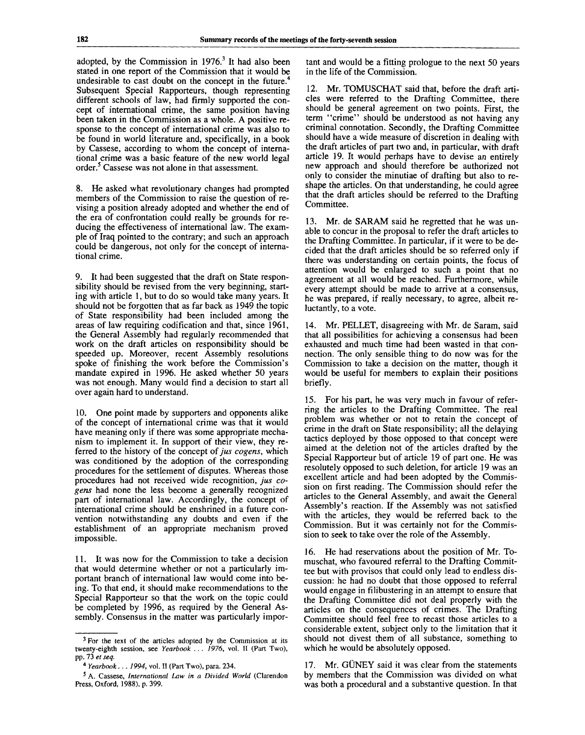adopted, by the Commission in 1976.<sup>3</sup> It had also been stated in one report of the Commission that it would be undesirable to cast doubt on the concept in the future.<sup>4</sup> Subsequent Special Rapporteurs, though representing different schools of law, had firmly supported the concept of international crime, the same position having been taken in the Commission as a whole. A positive response to the concept of international crime was also to be found in world literature and, specifically, in a book by Cassese, according to whom the concept of international crime was a basic feature of the new world legal order.<sup>5</sup> Cassese was not alone in that assessment.

8. He asked what revolutionary changes had prompted members of the Commission to raise the question of revising a position already adopted and whether the end of the era of confrontation could really be grounds for reducing the effectiveness of international law. The example of Iraq pointed to the contrary; and such an approach could be dangerous, not only for the concept of international crime.

9. It had been suggested that the draft on State responsibility should be revised from the very beginning, starting with article 1, but to do so would take many years. It should not be forgotten that as far back as 1949 the topic of State responsibility had been included among the areas of law requiring codification and that, since 1961, the General Assembly had regularly recommended that work on the draft articles on responsibility should be speeded up. Moreover, recent Assembly resolutions spoke of finishing the work before the Commission's mandate expired in 1996. He asked whether 50 years was not enough. Many would find a decision to start all over again hard to understand.

10. One point made by supporters and opponents alike of the concept of international crime was that it would have meaning only if there was some appropriate mechanism to implement it. In support of their view, they referred to the history of the concept of *jus cogens,* which was conditioned by the adoption of the corresponding procedures for the settlement of disputes. Whereas those procedures had not received wide recognition, *jus cogens* had none the less become a generally recognized part of international law. Accordingly, the concept of international crime should be enshrined in a future convention notwithstanding any doubts and even if the establishment of an appropriate mechanism proved impossible.

11. It was now for the Commission to take a decision that would determine whether or not a particularly important branch of international law would come into being. To that end, it should make recommendations to the Special Rapporteur so that the work on the topic could be completed by 1996, as required by the General Assembly. Consensus in the matter was particularly important and would be a fitting prologue to the next 50 years in the life of the Commission.

12. Mr. TOMUSCHAT said that, before the draft articles were referred to the Drafting Committee, there should be general agreement on two points. First, the term "crime" should be understood as not having any criminal connotation. Secondly, the Drafting Committee should have a wide measure of discretion in dealing with the draft articles of part two and, in particular, with draft article 19. It would perhaps have to devise an entirely new approach and should therefore be authorized not only to consider the minutiae of drafting but also to reshape the articles. On that understanding, he could agree that the draft articles should be referred to the Drafting Committee.

13. Mr. de SARAM said he regretted that he was unable to concur in the proposal to refer the draft articles to the Drafting Committee. In particular, if it were to be decided that the draft articles should be so referred only if there was understanding on certain points, the focus of attention would be enlarged to such a point that no agreement at all would be reached. Furthermore, while every attempt should be made to arrive at a consensus, he was prepared, if really necessary, to agree, albeit reluctantly, to a vote.

14. Mr. PELLET, disagreeing with Mr. de Saram, said that all possibilities for achieving a consensus had been exhausted and much time had been wasted in that connection. The only sensible thing to do now was for the Commission to take a decision on the matter, though it would be useful for members to explain their positions briefly.

15. For his part, he was very much in favour of referring the articles to the Drafting Committee. The real problem was whether or not to retain the concept of crime in the draft on State responsibility; all the delaying tactics deployed by those opposed to that concept were aimed at the deletion not of the articles drafted by the Special Rapporteur but of article 19 of part one. He was resolutely opposed to such deletion, for article 19 was an excellent article and had been adopted by the Commission on first reading. The Commission should refer the articles to the General Assembly, and await the General Assembly's reaction. If the Assembly was not satisfied with the articles, they would be referred back to the Commission. But it was certainly not for the Commission to seek to take over the role of the Assembly.

16. He had reservations about the position of Mr. Tomuschat, who favoured referral to the Drafting Committee but with provisos that could only lead to endless discussion: he had no doubt that those opposed to referral would engage in filibustering in an attempt to ensure that the Drafting Committee did not deal properly with the articles on the consequences of crimes. The Drafting Committee should feel free to recast those articles to a considerable extent, subject only to the limitation that it should not divest them of all substance, something to which he would be absolutely opposed.

17. Mr. GÜNEY said it was clear from the statements by members that the Commission was divided on what was both a procedural and a substantive question. In that

<sup>&</sup>lt;sup>3</sup> For the text of the articles adopted by the Commission at its twenty-eighth session, see *Yearbook . . . 1976,* vol. II (Part Two), pp. 73 *et seq.*

<sup>4</sup>  *Yearbook... 1994,* vol. II (Part Two), para. 234.

<sup>5</sup> A. Cassese, *International Law in a Divided World* (Clarendon Press, Oxford, 1988), p. 399.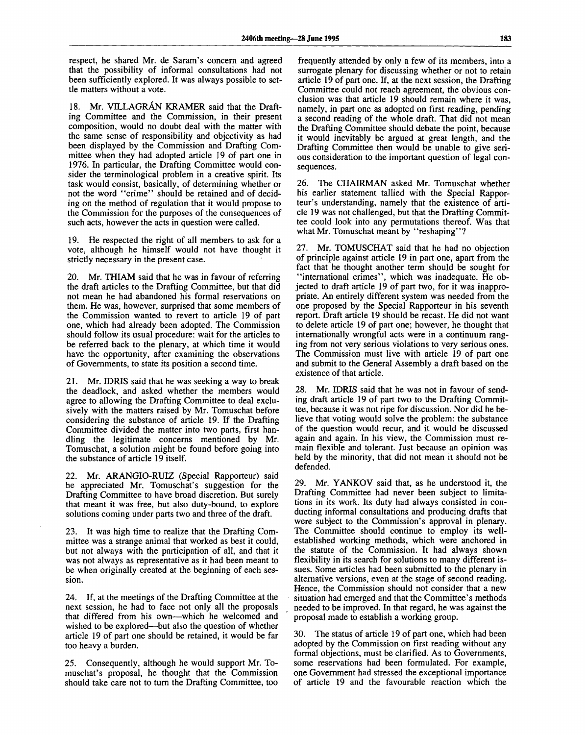respect, he shared Mr. de Saram's concern and agreed that the possibility of informal consultations had not been sufficiently explored. It was always possible to settle matters without a vote.

18. Mr. VILLAGRAN KRAMER said that the Drafting Committee and the Commission, in their present composition, would no doubt deal with the matter with the same sense of responsibility and objectivity as had been displayed by the Commission and Drafting Committee when they had adopted article 19 of part one in 1976. In particular, the Drafting Committee would consider the terminological problem in a creative spirit. Its task would consist, basically, of determining whether or not the word ''crime" should be retained and of deciding on the method of regulation that it would propose to the Commission for the purposes of the consequences of such acts, however the acts in question were called.

19. He respected the right of all members to ask for a vote, although he himself would not have thought it strictly necessary in the present case.

20. Mr. THIAM said that he was in favour of referring the draft articles to the Drafting Committee, but that did not mean he had abandoned his formal reservations on them. He was, however, surprised that some members of the Commission wanted to revert to article 19 of part one, which had already been adopted. The Commission should follow its usual procedure: wait for the articles to be referred back to the plenary, at which time it would have the opportunity, after examining the observations of Governments, to state its position a second time.

21. Mr. IDRIS said that he was seeking a way to break the deadlock, and asked whether the members would agree to allowing the Drafting Committee to deal exclusively with the matters raised by Mr. Tomuschat before considering the substance of article 19. If the Drafting Committee divided the matter into two parts, first handling the legitimate concerns mentioned by Mr. Tomuschat, a solution might be found before going into the substance of article 19 itself.

22. Mr. ARANGIO-RUIZ (Special Rapporteur) said he appreciated Mr. Tomuschat's suggestion for the Drafting Committee to have broad discretion. But surely that meant it was free, but also duty-bound, to explore solutions coming under parts two and three of the draft.

23. It was high time to realize that the Drafting Committee was a strange animal that worked as best it could, but not always with the participation of all, and that it was not always as representative as it had been meant to be when originally created at the beginning of each session.

24. If, at the meetings of the Drafting Committee at the next session, he had to face not only all the proposals that differed from his own—which he welcomed and wished to be explored—but also the question of whether article 19 of part one should be retained, it would be far too heavy a burden.

25. Consequently, although he would support Mr. Tomuschat's proposal, he thought that the Commission should take care not to turn the Drafting Committee, too

frequently attended by only a few of its members, into a surrogate plenary for discussing whether or not to retain article 19 of part one. If, at the next session, the Drafting Committee could not reach agreement, the obvious conclusion was that article 19 should remain where it was, namely, in part one as adopted on first reading, pending a second reading of the whole draft. That did not mean the Drafting Committee should debate the point, because it would inevitably be argued at great length, and the Drafting Committee then would be unable to give serious consideration to the important question of legal consequences.

26. The CHAIRMAN asked Mr. Tomuschat whether his earlier statement tallied with the Special Rapporteur's understanding, namely that the existence of article 19 was not challenged, but that the Drafting Committee could look into any permutations thereof. Was that what Mr. Tomuschat meant by "reshaping"?

27. Mr. TOMUSCHAT said that he had no objection of principle against article 19 in part one, apart from the fact that he thought another term should be sought for "international crimes", which was inadequate. He objected to draft article 19 of part two, for it was inappropriate. An entirely different system was needed from the one proposed by the Special Rapporteur in his seventh report. Draft article 19 should be recast. He did not want to delete article 19 of part one; however, he thought that internationally wrongful acts were in a continuum ranging from not very serious violations to very serious ones. The Commission must live with article 19 of part one and submit to the General Assembly a draft based on the existence of that article.

28. Mr. IDRIS said that he was not in favour of sending draft article 19 of part two to the Drafting Committee, because it was not ripe for discussion. Nor did he believe that voting would solve the problem: the substance of the question would recur, and it would be discussed again and again. In his view, the Commission must remain flexible and tolerant. Just because an opinion was held by the minority, that did not mean it should not be defended.

29. Mr. YANKOV said that, as he understood it, the Drafting Committee had never been subject to limitations in its work. Its duty had always consisted in conducting informal consultations and producing drafts that were subject to the Commission's approval in plenary. The Committee should continue to employ its wellestablished working methods, which were anchored in the statute of the Commission. It had always shown flexibility in its search for solutions to many different issues. Some articles had been submitted to the plenary in alternative versions, even at the stage of second reading. Hence, the Commission should not consider that a new situation had emerged and that the Committee's methods needed to be improved. In that regard, he was against the proposal made to establish a working group.

30. The status of article 19 of part one, which had been adopted by the Commission on first reading without any formal objections, must be clarified. As to Governments, some reservations had been formulated. For example, one Government had stressed the exceptional importance of article 19 and the favourable reaction which the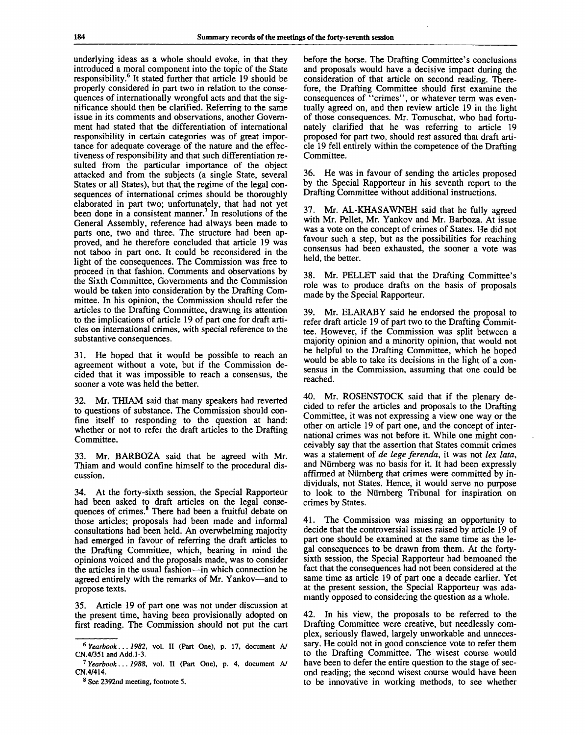underlying ideas as a whole should evoke, in that they introduced a moral component into the topic of the State responsibility.<sup>6</sup> It stated further that article 19 should be properly considered in part two in relation to the consequences of internationally wrongful acts and that the significance should then be clarified. Referring to the same issue in its comments and observations, another Government had stated that the differentiation of international responsibility in certain categories was of great importance for adequate coverage of the nature and the effectiveness of responsibility and that such differentiation resulted from the particular importance of the object attacked and from the subjects (a single State, several States or all States), but that the regime of the legal consequences of international crimes should be thoroughly elaborated in part two; unfortunately, that had not yet elaborated in part two, unfortunately, that had not yet General Assembly, reference had always been made to parts one, two and three. The structure had been approved, and he therefore concluded that article 19 was not taboo in part one. It could be reconsidered in the light of the consequences. The Commission was free to proceed in that fashion. Comments and observations by the Sixth Committee, Governments and the Commission would be taken into consideration by the Drafting Committee. In his opinion, the Commission should refer the articles to the Drafting Committee, drawing its attention to the implications of article 19 of part one for draft articles on international crimes, with special reference to the substantive consequences.

He hoped that it would be possible to reach an agreement without a vote, but if the Commission decided that it was impossible to reach a consensus, the sooner a vote was held the better.

32. Mr. THIAM said that many speakers had reverted to questions of substance. The Commission should confine itself to responding to the question at hand: whether or not to refer the draft articles to the Drafting Committee.

33. Mr. BARBOZA said that he agreed with Mr. Thiam and would confine himself to the procedural discussion.

34. At the forty-sixth session, the Special Rapporteur had been asked to draft articles on the legal consequences of crimes.<sup>8</sup> There had been a fruitful debate on those articles; proposals had been made and informal consultations had been held. An overwhelming majority had emerged in favour of referring the draft articles to the Drafting Committee, which, bearing in mind the opinions voiced and the proposals made, was to consider the articles in the usual fashion—in which connection he agreed entirely with the remarks of Mr. Yankov—and to propose texts.

35. Article 19 of part one was not under discussion at the present time, having been provisionally adopted on first reading. The Commission should not put the cart before the horse. The Drafting Committee's conclusions and proposals would have a decisive impact during the consideration of that article on second reading. Therefore, the Drafting Committee should first examine the consequences of "crimes", or whatever term was eventually agreed on, and then review article 19 in the light of those consequences. Mr. Tomuschat, who had fortunately clarified that he was referring to article 19 proposed for part two, should rest assured that draft article 19 fell entirely within the competence of the Drafting Committee.

36. He was in favour of sending the articles proposed by the Special Rapporteur in his seventh report to the Drafting Committee without additional instructions.

37. Mr. AL-KHASAWNEH said that he fully agreed with Mr. Pellet, Mr. Yankov and Mr. Barboza. At issue was a vote on the concept of crimes of States. He did not favour such a step, but as the possibilities for reaching consensus had been exhausted, the sooner a vote was held, the better.

38. Mr. PELLET said that the Drafting Committee's role was to produce drafts on the basis of proposals made by the Special Rapporteur.

39. Mr. ELARABY said he endorsed the proposal to refer draft article 19 of part two to the Drafting Committee. However, if the Commission was split between a majority opinion and a minority opinion, that would not be helpful to the Drafting Committee, which he hoped would be able to take its decisions in the light of a consensus in the Commission, assuming that one could be reached.

40. Mr. ROSENSTOCK said that if the plenary decided to refer the articles and proposals to the Drafting Committee, it was not expressing a view one way or the other on article 19 of part one, and the concept of international crimes was not before it. While one might conceivably say that the assertion that States commit crimes was a statement of *de lege ferenda,* it was not *lex lata,* and Niirnberg was no basis for it. It had been expressly affirmed at Niirnberg that crimes were committed by individuals, not States. Hence, it would serve no purpose to look to the Niirnberg Tribunal for inspiration on crimes by States.

41. The Commission was missing an opportunity to decide that the controversial issues raised by article 19 of part one should be examined at the same time as the legal consequences to be drawn from them. At the fortysixth session, the Special Rapporteur had bemoaned the fact that the consequences had not been considered at the same time as article 19 of part one a decade earlier. Yet at the present session, the Special Rapporteur was adamantly opposed to considering the question as a whole.

42. In his view, the proposals to be referred to the Drafting Committee were creative, but needlessly complex, seriously flawed, largely unworkable and unnecessary. He could not in good conscience vote to refer them to the Drafting Committee. The wisest course would have been to defer the entire question to the stage of second reading; the second wisest course would have been to be innovative in working methods, to see whether

<sup>6</sup>  *Yearbook... 1982,* vol. II (Part One), p. 17, document A/ CN.4/351andAdd.l-3.

<sup>7</sup>  *Yearbook... 1988,* vol. II (Part One), p. 4, document A/ CN.4/414.

<sup>&</sup>lt;sup>8</sup> See 2392nd meeting, footnote 5.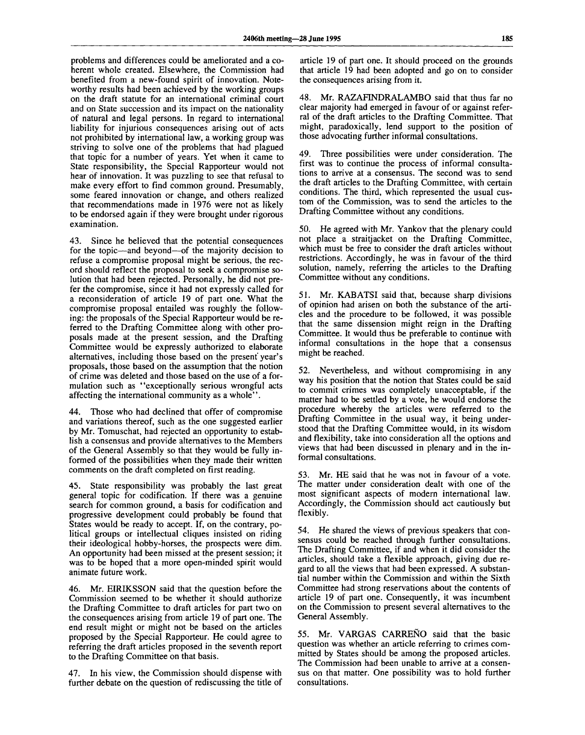problems and differences could be ameliorated and a coherent whole created. Elsewhere, the Commission had benefited from a new-found spirit of innovation. Noteworthy results had been achieved by the working groups on the draft statute for an international criminal court and on State succession and its impact on the nationality of natural and legal persons. In regard to international liability for injurious consequences arising out of acts not prohibited by international law, a working group was striving to solve one of the problems that had plagued that topic for a number of years. Yet when it came to State responsibility, the Special Rapporteur would not hear of innovation. It was puzzling to see that refusal to make every effort to find common ground. Presumably, some feared innovation or change, and others realized that recommendations made in 1976 were not as likely to be endorsed again if they were brought under rigorous examination.

43. Since he believed that the potential consequences for the topic—and beyond—of the majority decision to refuse a compromise proposal might be serious, the record should reflect the proposal to seek a compromise solution that had been rejected. Personally, he did not prefer the compromise, since it had not expressly called for a reconsideration of article 19 of part one. What the compromise proposal entailed was roughly the following: the proposals of the Special Rapporteur would be referred to the Drafting Committee along with other proposals made at the present session, and the Drafting Committee would be expressly authorized to elaborate alternatives, including those based on the present year's proposals, those based on the assumption that the notion of crime was deleted and those based on the use of a formulation such as "exceptionally serious wrongful acts affecting the international community as a whole".

44. Those who had declined that offer of compromise and variations thereof, such as the one suggested earlier by Mr. Tomuschat, had rejected an opportunity to establish a consensus and provide alternatives to the Members of the General Assembly so that they would be fully informed of the possibilities when they made their written comments on the draft completed on first reading.

45. State responsibility was probably the last great general topic for codification. If there was a genuine search for common ground, a basis for codification and progressive development could probably be found that States would be ready to accept. If, on the contrary, political groups or intellectual cliques insisted on riding their ideological hobby-horses, the prospects were dim. An opportunity had been missed at the present session; it was to be hoped that a more open-minded spirit would animate future work.

46. Mr. EIRIKSSON said that the question before the Commission seemed to be whether it should authorize the Drafting Committee to draft articles for part two on the consequences arising from article 19 of part one. The end result might or might not be based on the articles proposed by the Special Rapporteur. He could agree to referring the draft articles proposed in the seventh report to the Drafting Committee on that basis.

47. In his view, the Commission should dispense with further debate on the question of rediscussing the title of

article 19 of part one. It should proceed on the grounds that article 19 had been adopted and go on to consider the consequences arising from it.

Mr. RAZAFINDRALAMBO said that thus far no clear majority had emerged in favour of or against referral of the draft articles to the Drafting Committee. That might, paradoxically, lend support to the position of those advocating further informal consultations.

49. Three possibilities were under consideration. The first was to continue the process of informal consultations to arrive at a consensus. The second was to send the draft articles to the Drafting Committee, with certain conditions. The third, which represented the usual custom of the Commission, was to send the articles to the Drafting Committee without any conditions.

50. He agreed with Mr. Yankov that the plenary could not place a straitjacket on the Drafting Committee, which must be free to consider the draft articles without restrictions. Accordingly, he was in favour of the third solution, namely, referring the articles to the Drafting Committee without any conditions.

51. Mr. KABATSI said that, because sharp divisions of opinion had arisen on both the substance of the articles and the procedure to be followed, it was possible that the same dissension might reign in the Drafting Committee. It would thus be preferable to continue with informal consultations in the hope that a consensus might be reached.

52. Nevertheless, and without compromising in any way his position that the notion that States could be said to commit crimes was completely unacceptable, if the matter had to be settled by a vote, he would endorse the procedure whereby the articles were referred to the Drafting Committee in the usual way, it being understood that the Drafting Committee would, in its wisdom and flexibility, take into consideration all the options and views that had been discussed in plenary and in the informal consultations.

53. Mr. HE said that he was not in favour of a vote. The matter under consideration dealt with one of the most significant aspects of modern international law. Accordingly, the Commission should act cautiously but flexibly.

54. He shared the views of previous speakers that consensus could be reached through further consultations. The Drafting Committee, if and when it did consider the articles, should take a flexible approach, giving due regard to all the views that had been expressed. A substantial number within the Commission and within the Sixth Committee had strong reservations about the contents of article 19 of part one. Consequently, it was incumbent on the Commission to present several alternatives to the General Assembly.

55. Mr. VARGAS CARRENO said that the basic question was whether an article referring to crimes committed by States should be among the proposed articles. The Commission had been unable to arrive at a consensus on that matter. One possibility was to hold further consultations.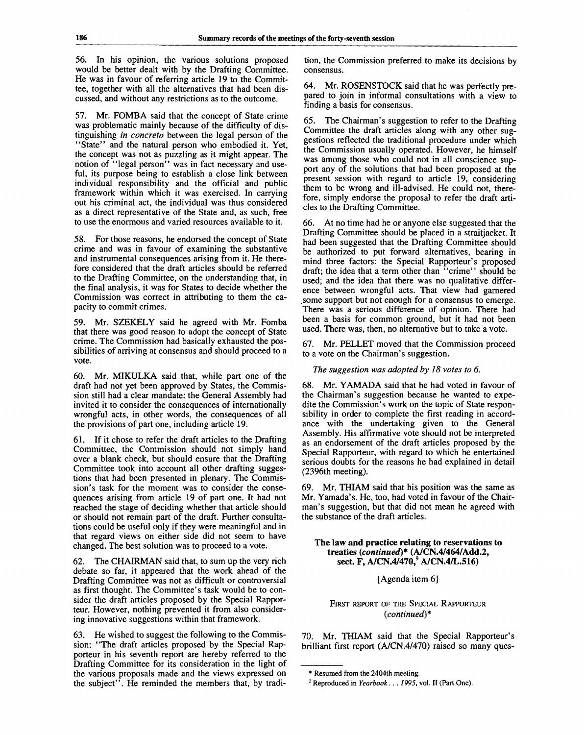56. In his opinion, the various solutions proposed would be better dealt with by the Drafting Committee. He was in favour of referring article 19 to the Committee, together with all the alternatives that had been discussed, and without any restrictions as to the outcome.

57. Mr. FOMBA said that the concept of State crime was problematic mainly because of the difficulty of distinguishing *in concrete* between the legal person of the "State" and the natural person who embodied it. Yet, the concept was not as puzzling as it might appear. The notion of "legal person" was in fact necessary and useful, its purpose being to establish a close link between individual responsibility and the official and public framework within which it was exercised. In carrying out his criminal act, the individual was thus considered as a direct representative of the State and, as such, free to use the enormous and varied resources available to it.

58. For those reasons, he endorsed the concept of State crime and was in favour of examining the substantive and instrumental consequences arising from it. He therefore considered that the draft articles should be referred to the Drafting Committee, on the understanding that, in the final analysis, it was for States to decide whether the Commission was correct in attributing to them the capacity to commit crimes.

59. Mr. SZEKELY said he agreed with Mr. Fomba that there was good reason to adopt the concept of State crime. The Commission had basically exhausted the possibilities of arriving at consensus and should proceed to a vote.

60. Mr. MIKULKA said that, while part one of the draft had not yet been approved by States, the Commission still had a clear mandate: the General Assembly had invited it to consider the consequences of internationally wrongful acts, in other words, the consequences of all the provisions of part one, including article 19.

61. If it chose to refer the draft articles to the Drafting Committee, the Commission should not simply hand over a blank check, but should ensure that the Drafting Committee took into account all other drafting suggestions that had been presented in plenary. The Commission's task for the moment was to consider the consequences arising from article 19 of part one. It had not reached the stage of deciding whether that article should or should not remain part of the draft. Further consultations could be useful only if they were meaningful and in that regard views on either side did not seem to have changed. The best solution was to proceed to a vote.

62. The CHAIRMAN said that, to sum up the very rich debate so far, it appeared that the work ahead of the Drafting Committee was not as difficult or controversial as first thought. The Committee's task would be to consider the draft articles proposed by the Special Rapporteur. However, nothing prevented it from also considering innovative suggestions within that framework.

63. He wished to suggest the following to the Commission: "The draft articles proposed by the Special Rapporteur in his seventh report are hereby referred to the Drafting Committee for its consideration in the light of the various proposals made and the views expressed on the subject". He reminded the members that, by tradition, the Commission preferred to make its decisions by consensus.

64. Mr. ROSENSTOCK said that he was perfectly prepared to join in informal consultations with a view to finding a basis for consensus.

65. The Chairman's suggestion to refer to the Drafting Committee the draft articles along with any other suggestions reflected the traditional procedure under which the Commission usually operated. However, he himself was among those who could not in all conscience support any of the solutions that had been proposed at the present session with regard to article 19, considering them to be wrong and ill-advised. He could not, therefore, simply endorse the proposal to refer the draft articles to the Drafting Committee.

66. At no time had he or anyone else suggested that the Drafting Committee should be placed in a straitjacket. It had been suggested that the Drafting Committee should be authorized to put forward alternatives, bearing in mind three factors: the Special Rapporteur's proposed draft; the idea that a term other than "crime" should be used; and the idea that there was no qualitative difference between wrongful acts. That view had garnered some support but not enough for a consensus to emerge. There was a serious difference of opinion. There had been a basis for common ground, but it had not been used. There was, then, no alternative but to take a vote.

67. Mr. PELLET moved that the Commission proceed to a vote on the Chairman's suggestion.

*The suggestion was adopted by 18 votes to 6.*

68. Mr. YAMADA said that he had voted in favour of the Chairman's suggestion because he wanted to expedite the Commission's work on the topic of State responsibility in order to complete the first reading in accordance with the undertaking given to the General Assembly. His affirmative vote should not be interpreted as an endorsement of the draft articles proposed by the Special Rapporteur, with regard to which he entertained serious doubts for the reasons he had explained in detail (2396th meeting).

69. Mr. THIAM said that his position was the same as Mr. Yamada's. He, too, had voted in favour of the Chairman's suggestion, but that did not mean he agreed with the substance of the draft articles.

#### **The law and practice relating to reservations to treaties** *{continued)\** **(A/CN.4/464/Add.2, sect. F, A/CN.4/470,<sup>9</sup> A/CN.4/L.516)**

#### [Agenda item 6]

FIRST REPORT OF THE SPECIAL RAPPORTEUR *{continued)\**

70. Mr. THIAM said that the Special Rapporteur's brilliant first report (A/CN.4/470) raised so many ques-

<sup>\*</sup> Resumed from the 2404th meeting.

<sup>1</sup> Reproduced in *Yearbook... 1995,* vol. II (Part One).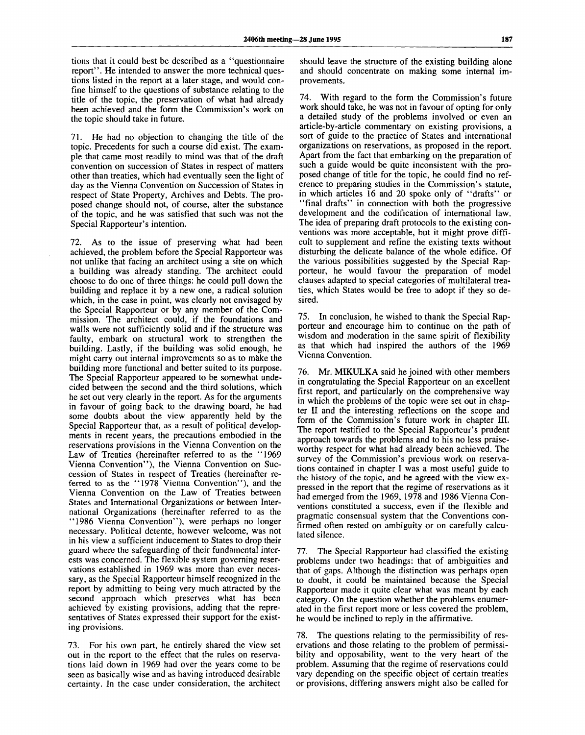tions that it could best be described as a "questionnaire report''. He intended to answer the more technical questions listed in the report at a later stage, and would confine himself to the questions of substance relating to the title of the topic, the preservation of what had already been achieved and the form the Commission's work on the topic should take in future.

71. He had no objection to changing the title of the topic. Precedents for such a course did exist. The example that came most readily to mind was that of the draft convention on succession of States in respect of matters other than treaties, which had eventually seen the light of day as the Vienna Convention on Succession of States in respect of State Property, Archives and Debts. The proposed change should not, of course, alter the substance of the topic, and he was satisfied that such was not the Special Rapporteur's intention.

72. As to the issue of preserving what had been achieved, the problem before the Special Rapporteur was not unlike that facing an architect using a site on which a building was already standing. The architect could choose to do one of three things: he could pull down the building and replace it by a new one, a radical solution which, in the case in point, was clearly not envisaged by the Special Rapporteur or by any member of the Commission. The architect could, if the foundations and walls were not sufficiently solid and if the structure was faulty, embark on structural work to strengthen the building. Lastly, if the building was solid enough, he might carry out internal improvements so as to make the building more functional and better suited to its purpose. The Special Rapporteur appeared to be somewhat undecided between the second and the third solutions, which he set out very clearly in the report. As for the arguments in favour of going back to the drawing board, he had some doubts about the view apparently held by the Special Rapporteur that, as a result of political developments in recent years, the precautions embodied in the reservations provisions in the Vienna Convention on the Law of Treaties (hereinafter referred to as the "1969 Vienna Convention"), the Vienna Convention on Succession of States in respect of Treaties (hereinafter referred to as the "1978 Vienna Convention"), and the Vienna Convention on the Law of Treaties between States and International Organizations or between International Organizations (hereinafter referred to as the "1986 Vienna Convention"), were perhaps no longer necessary. Political detente, however welcome, was not in his view a sufficient inducement to States to drop their guard where the safeguarding of their fundamental interests was concerned. The flexible system governing reservations established in 1969 was more than ever necessary, as the Special Rapporteur himself recognized in the report by admitting to being very much attracted by the second approach which preserves what has been achieved by existing provisions, adding that the representatives of States expressed their support for the existing provisions.

73. For his own part, he entirely shared the view set out in the report to the effect that the rules on reservations laid down in 1969 had over the years come to be seen as basically wise and as having introduced desirable certainty. In the case under consideration, the architect

should leave the structure of the existing building alone and should concentrate on making some internal improvements.

74. With regard to the form the Commission's future work should take, he was not in favour of opting for only a detailed study of the problems involved or even an article-by-article commentary on existing provisions, a sort of guide to the practice of States and international organizations on reservations, as proposed in the report. Apart from the fact that embarking on the preparation of such a guide would be quite inconsistent with the proposed change of title for the topic, he could find no reference to preparing studies in the Commission's statute, in which articles 16 and 20 spoke only of "drafts" or "final drafts" in connection with both the progressive development and the codification of international law. The idea of preparing draft protocols to the existing conventions was more acceptable, but it might prove difficult to supplement and refine the existing texts without disturbing the delicate balance of the whole edifice. Of the various possibilities suggested by the Special Rapporteur, he would favour the preparation of model clauses adapted to special categories of multilateral treaties, which States would be free to adopt if they so desired.

75. In conclusion, he wished to thank the Special Rapporteur and encourage him to continue on the path of wisdom and moderation in the same spirit of flexibility as that which had inspired the authors of the 1969 Vienna Convention.

76. Mr. MIKULKA said he joined with other members in congratulating the Special Rapporteur on an excellent first report, and particularly on the comprehensive way in which the problems of the topic were set out in chapter II and the interesting reflections on the scope and form of the Commission's future work in chapter III. The report testified to the Special Rapporteur's prudent approach towards the problems and to his no less praiseworthy respect for what had already been achieved. The survey of the Commission's previous work on reservations contained in chapter I was a most useful guide to the history of the topic, and he agreed with the view expressed in the report that the regime of reservations as it had emerged from the 1969, 1978 and 1986 Vienna Conventions constituted a success, even if the flexible and pragmatic consensual system that the Conventions confirmed often rested on ambiguity or on carefully calculated silence.

77. The Special Rapporteur had classified the existing problems under two headings: that of ambiguities and that of gaps. Although the distinction was perhaps open to doubt, it could be maintained because the Special Rapporteur made it quite clear what was meant by each category. On the question whether the problems enumerated in the first report more or less covered the problem, he would be inclined to reply in the affirmative.

78. The questions relating to the permissibility of reservations and those relating to the problem of permissibility and opposability, went to the very heart of the problem. Assuming that the regime of reservations could vary depending on the specific object of certain treaties or provisions, differing answers might also be called for